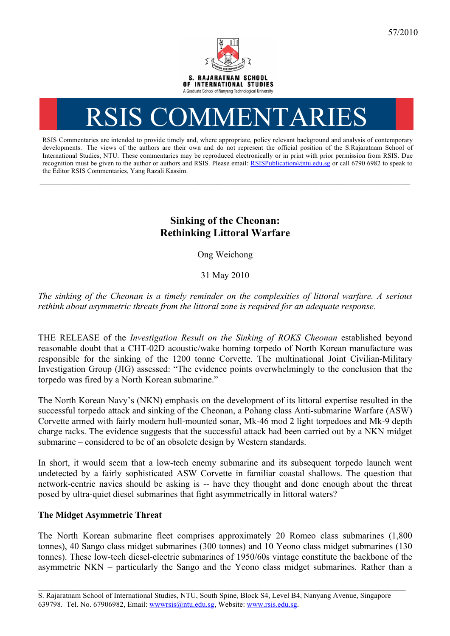

# RSIS COMMENTARI

RSIS Commentaries are intended to provide timely and, where appropriate, policy relevant background and analysis of contemporary developments. The views of the authors are their own and do not represent the official position of the S.Rajaratnam School of International Studies, NTU. These commentaries may be reproduced electronically or in print with prior permission from RSIS. Due recognition must be given to the author or authors and RSIS. Please email: RSISPublication@ntu.edu.sg or call 6790 6982 to speak to the Editor RSIS Commentaries, Yang Razali Kassim.

**\_\_\_\_\_\_\_\_\_\_\_\_\_\_\_\_\_\_\_\_\_\_\_\_\_\_\_\_\_\_\_\_\_\_\_\_\_\_\_\_\_\_\_\_\_\_\_\_\_\_\_\_\_\_\_\_\_\_\_\_\_\_\_\_\_\_\_\_\_\_\_\_\_\_\_\_\_\_\_\_\_\_\_\_\_\_\_\_\_\_\_\_\_\_\_\_\_\_**

## **Sinking of the Cheonan: Rethinking Littoral Warfare**

Ong Weichong

31 May 2010

*The sinking of the Cheonan is a timely reminder on the complexities of littoral warfare. A serious rethink about asymmetric threats from the littoral zone is required for an adequate response.*

THE RELEASE of the *Investigation Result on the Sinking of ROKS Cheonan* established beyond reasonable doubt that a CHT-02D acoustic/wake homing torpedo of North Korean manufacture was responsible for the sinking of the 1200 tonne Corvette. The multinational Joint Civilian-Military Investigation Group (JIG) assessed: "The evidence points overwhelmingly to the conclusion that the torpedo was fired by a North Korean submarine."

The North Korean Navy's (NKN) emphasis on the development of its littoral expertise resulted in the successful torpedo attack and sinking of the Cheonan, a Pohang class Anti-submarine Warfare (ASW) Corvette armed with fairly modern hull-mounted sonar, Mk-46 mod 2 light torpedoes and Mk-9 depth charge racks. The evidence suggests that the successful attack had been carried out by a NKN midget submarine – considered to be of an obsolete design by Western standards.

In short, it would seem that a low-tech enemy submarine and its subsequent torpedo launch went undetected by a fairly sophisticated ASW Corvette in familiar coastal shallows. The question that network-centric navies should be asking is -- have they thought and done enough about the threat posed by ultra-quiet diesel submarines that fight asymmetrically in littoral waters?

### **The Midget Asymmetric Threat**

The North Korean submarine fleet comprises approximately 20 Romeo class submarines (1,800 tonnes), 40 Sango class midget submarines (300 tonnes) and 10 Yeono class midget submarines (130 tonnes). These low-tech diesel-electric submarines of 1950/60s vintage constitute the backbone of the asymmetric NKN – particularly the Sango and the Yeono class midget submarines. Rather than a

\_\_\_\_\_\_\_\_\_\_\_\_\_\_\_\_\_\_\_\_\_\_\_\_\_\_\_\_\_\_\_\_\_\_\_\_\_\_\_\_\_\_\_\_\_\_\_\_\_\_\_\_\_\_\_\_\_\_\_\_\_\_\_\_\_\_\_\_\_\_\_\_\_\_\_\_\_\_\_\_\_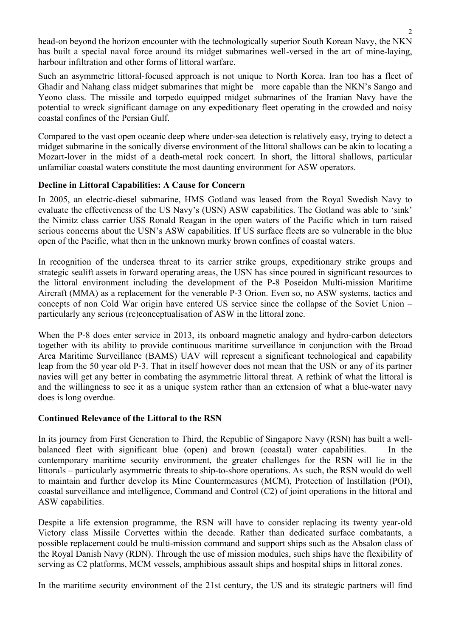head-on beyond the horizon encounter with the technologically superior South Korean Navy, the NKN has built a special naval force around its midget submarines well-versed in the art of mine-laying, harbour infiltration and other forms of littoral warfare.

Such an asymmetric littoral-focused approach is not unique to North Korea. Iran too has a fleet of Ghadir and Nahang class midget submarines that might be more capable than the NKN's Sango and Yeono class. The missile and torpedo equipped midget submarines of the Iranian Navy have the potential to wreck significant damage on any expeditionary fleet operating in the crowded and noisy coastal confines of the Persian Gulf.

Compared to the vast open oceanic deep where under-sea detection is relatively easy, trying to detect a midget submarine in the sonically diverse environment of the littoral shallows can be akin to locating a Mozart-lover in the midst of a death-metal rock concert. In short, the littoral shallows, particular unfamiliar coastal waters constitute the most daunting environment for ASW operators.

#### **Decline in Littoral Capabilities: A Cause for Concern**

In 2005, an electric-diesel submarine, HMS Gotland was leased from the Royal Swedish Navy to evaluate the effectiveness of the US Navy's (USN) ASW capabilities. The Gotland was able to 'sink' the Nimitz class carrier USS Ronald Reagan in the open waters of the Pacific which in turn raised serious concerns about the USN's ASW capabilities. If US surface fleets are so vulnerable in the blue open of the Pacific, what then in the unknown murky brown confines of coastal waters.

In recognition of the undersea threat to its carrier strike groups, expeditionary strike groups and strategic sealift assets in forward operating areas, the USN has since poured in significant resources to the littoral environment including the development of the P-8 Poseidon Multi-mission Maritime Aircraft (MMA) as a replacement for the venerable P-3 Orion. Even so, no ASW systems, tactics and concepts of non Cold War origin have entered US service since the collapse of the Soviet Union – particularly any serious (re)conceptualisation of ASW in the littoral zone.

When the P-8 does enter service in 2013, its onboard magnetic analogy and hydro-carbon detectors together with its ability to provide continuous maritime surveillance in conjunction with the Broad Area Maritime Surveillance (BAMS) UAV will represent a significant technological and capability leap from the 50 year old P-3. That in itself however does not mean that the USN or any of its partner navies will get any better in combating the asymmetric littoral threat. A rethink of what the littoral is and the willingness to see it as a unique system rather than an extension of what a blue-water navy does is long overdue.

#### **Continued Relevance of the Littoral to the RSN**

In its journey from First Generation to Third, the Republic of Singapore Navy (RSN) has built a wellbalanced fleet with significant blue (open) and brown (coastal) water capabilities. In the contemporary maritime security environment, the greater challenges for the RSN will lie in the littorals – particularly asymmetric threats to ship-to-shore operations. As such, the RSN would do well to maintain and further develop its Mine Countermeasures (MCM), Protection of Instillation (POI), coastal surveillance and intelligence, Command and Control (C2) of joint operations in the littoral and ASW capabilities.

Despite a life extension programme, the RSN will have to consider replacing its twenty year-old Victory class Missile Corvettes within the decade. Rather than dedicated surface combatants, a possible replacement could be multi-mission command and support ships such as the Absalon class of the Royal Danish Navy (RDN). Through the use of mission modules, such ships have the flexibility of serving as C2 platforms, MCM vessels, amphibious assault ships and hospital ships in littoral zones.

In the maritime security environment of the 21st century, the US and its strategic partners will find